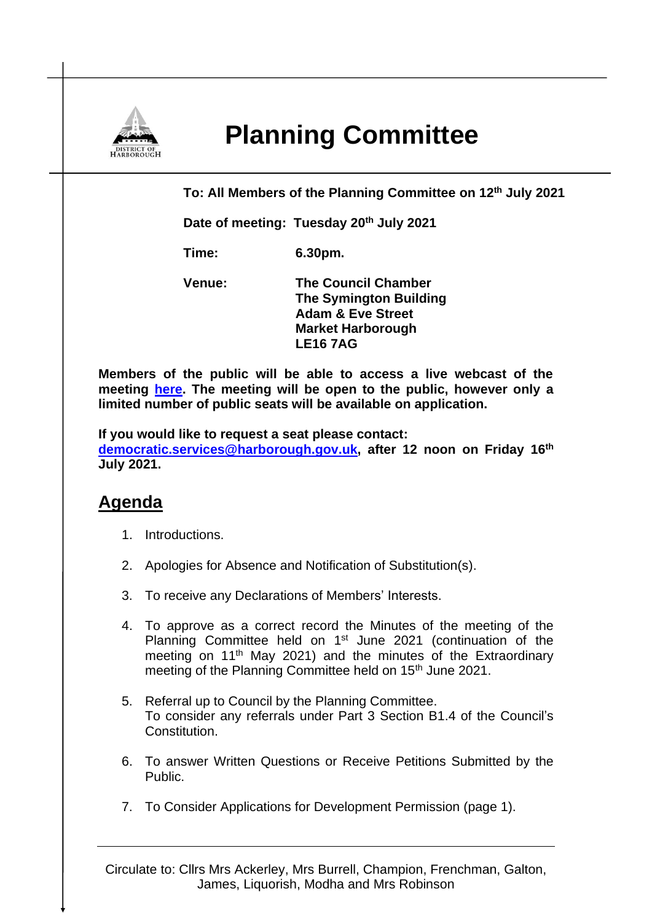

## **Planning Committee**

**To: All Members of the Planning Committee on 12th July 2021**

**Date of meeting: Tuesday 20th July 2021**

**Time: 6.30pm.**

**Venue: The Council Chamber The Symington Building Adam & Eve Street Market Harborough LE16 7AG**

**Members of the public will be able to access a live webcast of the meeting [here.](https://cmis.harborough.gov.uk/cmis5/Meetings/tabid/73/ctl/ViewMeetingPublic/mid/410/Meeting/5606/Committee/817/SelectedTab/Documents/Default.aspx) The meeting will be open to the public, however only a limited number of public seats will be available on application.** 

**If you would like to request a seat please contact: [democratic.services@harborough.gov.uk,](mailto:democratic.services@harborough.gov.uk) after 12 noon on Friday 16th July 2021.**

## **Agenda**

- 1. Introductions.
- 2. Apologies for Absence and Notification of Substitution(s).
- 3. To receive any Declarations of Members' Interests.
- 4. To approve as a correct record the Minutes of the meeting of the Planning Committee held on 1<sup>st</sup> June 2021 (continuation of the meeting on 11<sup>th</sup> May 2021) and the minutes of the Extraordinary meeting of the Planning Committee held on 15<sup>th</sup> June 2021.
- 5. Referral up to Council by the Planning Committee. To consider any referrals under Part 3 Section B1.4 of the Council's Constitution.
- 6. To answer Written Questions or Receive Petitions Submitted by the Public.
- 7. To Consider Applications for Development Permission (page 1).

Circulate to: Cllrs Mrs Ackerley, Mrs Burrell, Champion, Frenchman, Galton, James, Liquorish, Modha and Mrs Robinson